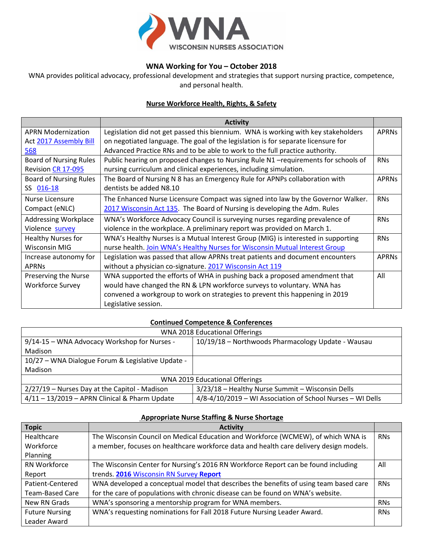

# **WNA Working for You – October 2018**

WNA provides political advocacy, professional development and strategies that support nursing practice, competence, and personal health.

# **Nurse Workforce Health, Rights, & Safety**

|                               | <b>Activity</b>                                                                    |              |
|-------------------------------|------------------------------------------------------------------------------------|--------------|
| <b>APRN Modernization</b>     | Legislation did not get passed this biennium. WNA is working with key stakeholders | <b>APRNs</b> |
| Act 2017 Assembly Bill        | on negotiated language. The goal of the legislation is for separate licensure for  |              |
| 568                           | Advanced Practice RNs and to be able to work to the full practice authority.       |              |
| <b>Board of Nursing Rules</b> | Public hearing on proposed changes to Nursing Rule N1 -requirements for schools of | <b>RNs</b>   |
| Revision CR 17-095            | nursing curriculum and clinical experiences, including simulation.                 |              |
| <b>Board of Nursing Rules</b> | The Board of Nursing N 8 has an Emergency Rule for APNPs collaboration with        | <b>APRNs</b> |
| SS 016-18                     | dentists be added N8.10                                                            |              |
| <b>Nurse Licensure</b>        | The Enhanced Nurse Licensure Compact was signed into law by the Governor Walker.   | <b>RNs</b>   |
| Compact (eNLC)                | 2017 Wisconsin Act 135. The Board of Nursing is developing the Adm. Rules          |              |
| <b>Addressing Workplace</b>   | WNA's Workforce Advocacy Council is surveying nurses regarding prevalence of       | <b>RNs</b>   |
| Violence survey               | violence in the workplace. A preliminary report was provided on March 1.           |              |
| <b>Healthy Nurses for</b>     | WNA's Healthy Nurses is a Mutual Interest Group (MIG) is interested in supporting  | <b>RNs</b>   |
| <b>Wisconsin MIG</b>          | nurse health. Join WNA's Healthy Nurses for Wisconsin Mutual Interest Group        |              |
| Increase autonomy for         | Legislation was passed that allow APRNs treat patients and document encounters     | <b>APRNs</b> |
| <b>APRNs</b>                  | without a physician co-signature. 2017 Wisconsin Act 119                           |              |
| Preserving the Nurse          | WNA supported the efforts of WHA in pushing back a proposed amendment that         | All          |
| <b>Workforce Survey</b>       | would have changed the RN & LPN workforce surveys to voluntary. WNA has            |              |
|                               | convened a workgroup to work on strategies to prevent this happening in 2019       |              |
|                               | Legislative session.                                                               |              |

#### **Continued Competence & Conferences**

| WNA 2018 Educational Offerings                    |                                                            |  |  |  |
|---------------------------------------------------|------------------------------------------------------------|--|--|--|
| 9/14-15 - WNA Advocacy Workshop for Nurses -      | 10/19/18 - Northwoods Pharmacology Update - Wausau         |  |  |  |
| Madison                                           |                                                            |  |  |  |
| 10/27 - WNA Dialogue Forum & Legislative Update - |                                                            |  |  |  |
| Madison                                           |                                                            |  |  |  |
| WNA 2019 Educational Offerings                    |                                                            |  |  |  |
| 2/27/19 - Nurses Day at the Capitol - Madison     | 3/23/18 - Healthy Nurse Summit - Wisconsin Dells           |  |  |  |
| $4/11 - 13/2019$ - APRN Clinical & Pharm Update   | 4/8-4/10/2019 - WI Association of School Nurses - WI Dells |  |  |  |

| <b>Topic</b>           | <b>Activity</b>                                                                        |            |
|------------------------|----------------------------------------------------------------------------------------|------------|
| Healthcare             | The Wisconsin Council on Medical Education and Workforce (WCMEW), of which WNA is      | <b>RNS</b> |
| Workforce              | a member, focuses on healthcare workforce data and health care delivery design models. |            |
| Planning               |                                                                                        |            |
| RN Workforce           | The Wisconsin Center for Nursing's 2016 RN Workforce Report can be found including     | All        |
| Report                 | trends. 2016 Wisconsin RN Survey Report                                                |            |
| Patient-Centered       | WNA developed a conceptual model that describes the benefits of using team based care  | <b>RNs</b> |
| <b>Team-Based Care</b> | for the care of populations with chronic disease can be found on WNA's website.        |            |
| New RN Grads           | WNA's sponsoring a mentorship program for WNA members.                                 | <b>RNs</b> |
| <b>Future Nursing</b>  | WNA's requesting nominations for Fall 2018 Future Nursing Leader Award.                | <b>RNs</b> |
| Leader Award           |                                                                                        |            |

### **Appropriate Nurse Staffing & Nurse Shortage**